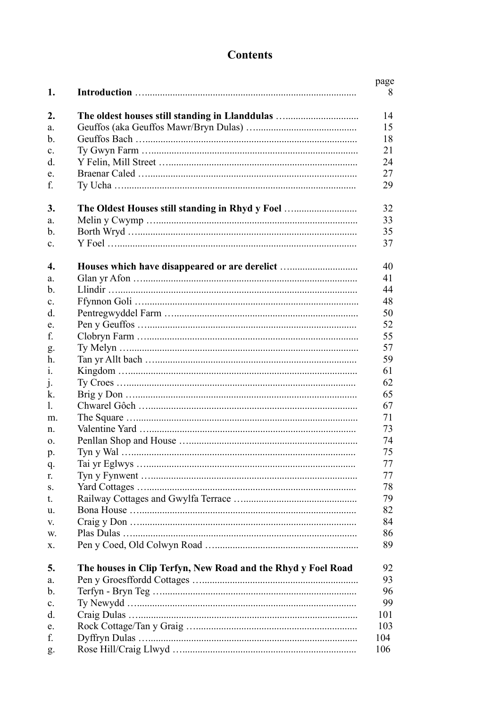## **Contents**

| 1.                               |                                                              | page<br>8 |
|----------------------------------|--------------------------------------------------------------|-----------|
| 2.                               |                                                              | 14        |
| a.                               |                                                              | 15        |
| $\mathbf{b}$ .                   |                                                              | 18        |
|                                  |                                                              | 21        |
| $\mathbf{c}$ .<br>$\mathbf{d}$ . |                                                              | 24        |
|                                  |                                                              | 27        |
| e.<br>f.                         |                                                              | 29        |
| 3.                               | The Oldest Houses still standing in Rhyd y Foel              | 32        |
| a.                               |                                                              | 33        |
| $\mathbf b$ .                    |                                                              | 35        |
| c.                               |                                                              | 37        |
|                                  |                                                              |           |
| $\boldsymbol{4}$ .<br>a.         | Houses which have disappeared or are derelict                | 40<br>41  |
| $\mathbf{b}$ .                   |                                                              | 44        |
| $\mathbf{c}$ .                   |                                                              | 48        |
| d.                               |                                                              | 50        |
| e.                               |                                                              | 52        |
| f.                               |                                                              | 55        |
|                                  |                                                              | 57        |
| g.<br>h.                         |                                                              | 59        |
| 1.                               |                                                              | 61        |
|                                  |                                                              | 62        |
| $\cdot$<br>k.                    |                                                              | 65        |
| 1.                               |                                                              | 67        |
| m.                               |                                                              | 71        |
| n.                               |                                                              | 73        |
|                                  |                                                              | 74        |
| 0.                               |                                                              | 75        |
| p.                               |                                                              | 77        |
| q.                               |                                                              | 77        |
| r.                               |                                                              |           |
| S.                               |                                                              | 78        |
| t.                               |                                                              | 79        |
| u.                               |                                                              | 82        |
| V.                               |                                                              | 84        |
| W.                               |                                                              | 86        |
| х.                               |                                                              | 89        |
| 5.                               | The houses in Clip Terfyn, New Road and the Rhyd y Foel Road | 92        |
| a.                               |                                                              | 93        |
| b.                               |                                                              | 96        |
| $\mathbf{c}$ .                   |                                                              | 99        |
| d.                               |                                                              | 101       |
| e.                               |                                                              | 103       |
| f.                               |                                                              | 104       |
| g.                               |                                                              | 106       |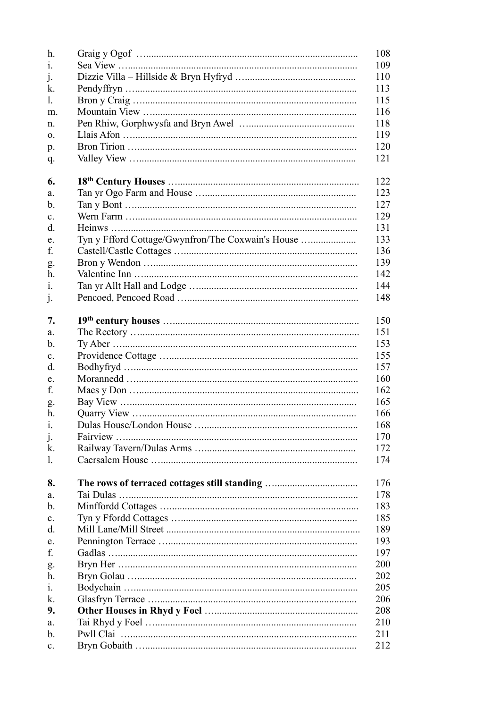| Tyn y Ffford Cottage/Gwynfron/The Coxwain's House |
|---------------------------------------------------|
|                                                   |
|                                                   |
|                                                   |
|                                                   |
|                                                   |
|                                                   |
|                                                   |
|                                                   |
|                                                   |
|                                                   |
|                                                   |
|                                                   |
|                                                   |
|                                                   |
|                                                   |
|                                                   |
|                                                   |
|                                                   |
|                                                   |
|                                                   |
|                                                   |
|                                                   |
|                                                   |
|                                                   |
|                                                   |
|                                                   |
|                                                   |
|                                                   |
|                                                   |
|                                                   |
|                                                   |
|                                                   |
|                                                   |
|                                                   |
|                                                   |